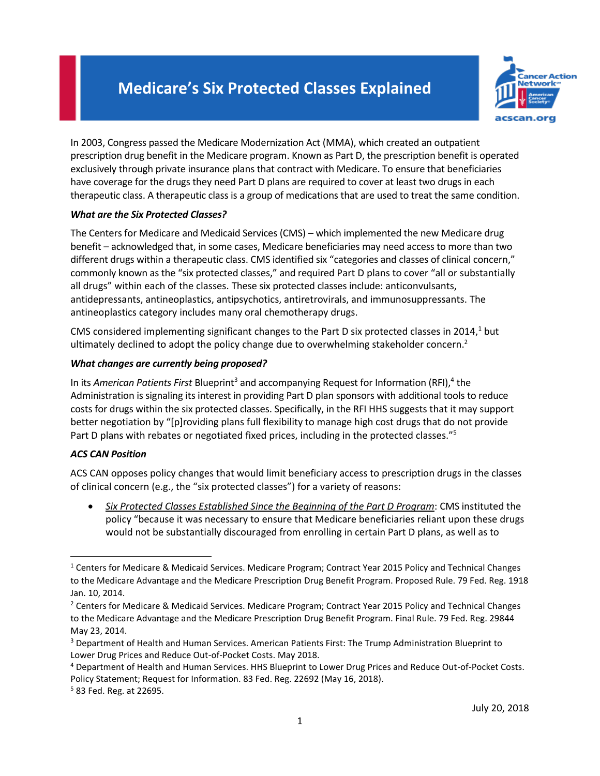## **Medicare's Six Protected Classes Explained**



In 2003, Congress passed the Medicare Modernization Act (MMA), which created an outpatient prescription drug benefit in the Medicare program. Known as Part D, the prescription benefit is operated exclusively through private insurance plans that contract with Medicare. To ensure that beneficiaries have coverage for the drugs they need Part D plans are required to cover at least two drugs in each therapeutic class. A therapeutic class is a group of medications that are used to treat the same condition.

## *What are the Six Protected Classes?*

The Centers for Medicare and Medicaid Services (CMS) – which implemented the new Medicare drug benefit – acknowledged that, in some cases, Medicare beneficiaries may need access to more than two different drugs within a therapeutic class. CMS identified six "categories and classes of clinical concern," commonly known as the "six protected classes," and required Part D plans to cover "all or substantially all drugs" within each of the classes. These six protected classes include: anticonvulsants, antidepressants, antineoplastics, antipsychotics, antiretrovirals, and immunosuppressants. The antineoplastics category includes many oral chemotherapy drugs.

CMS considered implementing significant changes to the Part D six protected classes in  $2014<sup>1</sup>$  but ultimately declined to adopt the policy change due to overwhelming stakeholder concern.<sup>2</sup>

## *What changes are currently being proposed?*

In its American Patients First Blueprint<sup>3</sup> and accompanying Request for Information (RFI),<sup>4</sup> the Administration is signaling its interest in providing Part D plan sponsors with additional tools to reduce costs for drugs within the six protected classes. Specifically, in the RFI HHS suggests that it may support better negotiation by "[p]roviding plans full flexibility to manage high cost drugs that do not provide Part D plans with rebates or negotiated fixed prices, including in the protected classes."<sup>5</sup>

## *ACS CAN Position*

 $\overline{\phantom{a}}$ 

ACS CAN opposes policy changes that would limit beneficiary access to prescription drugs in the classes of clinical concern (e.g., the "six protected classes") for a variety of reasons:

• *Six Protected Classes Established Since the Beginning of the Part D Program*: CMS instituted the policy "because it was necessary to ensure that Medicare beneficiaries reliant upon these drugs would not be substantially discouraged from enrolling in certain Part D plans, as well as to

<sup>5</sup> 83 Fed. Reg. at 22695.

<sup>1</sup> Centers for Medicare & Medicaid Services. Medicare Program; Contract Year 2015 Policy and Technical Changes to the Medicare Advantage and the Medicare Prescription Drug Benefit Program. Proposed Rule. 79 Fed. Reg. 1918 Jan. 10, 2014.

<sup>&</sup>lt;sup>2</sup> Centers for Medicare & Medicaid Services. Medicare Program; Contract Year 2015 Policy and Technical Changes to the Medicare Advantage and the Medicare Prescription Drug Benefit Program. Final Rule. 79 Fed. Reg. 29844 May 23, 2014.

<sup>&</sup>lt;sup>3</sup> Department of Health and Human Services. American Patients First: The Trump Administration Blueprint to Lower Drug Prices and Reduce Out-of-Pocket Costs. May 2018.

<sup>4</sup> Department of Health and Human Services. HHS Blueprint to Lower Drug Prices and Reduce Out-of-Pocket Costs. Policy Statement; Request for Information. 83 Fed. Reg. 22692 (May 16, 2018).